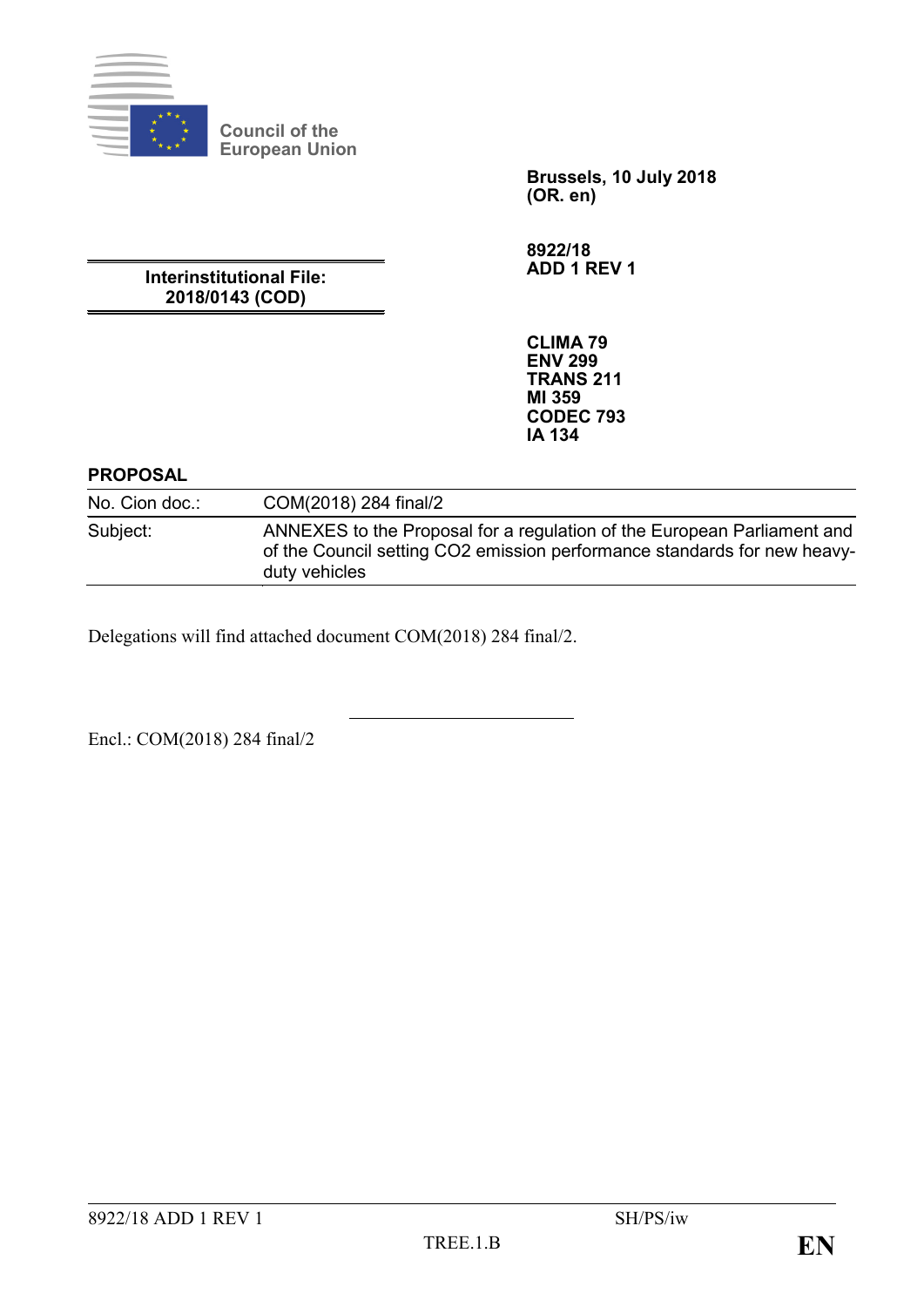

**Council of the European Union**

> **Brussels, 10 July 2018 (OR. en)**

**8922/18 ADD 1 REV 1**

**Interinstitutional File: 2018/0143 (COD)**

> **CLIMA 79 ENV 299 TRANS 211 MI 359 CODEC 793 IA 134**

## **PROPOSAL**

No. Cion doc.: COM(2018) 284 final/2 Subject: ANNEXES to the Proposal for a regulation of the European Parliament and of the Council setting CO2 emission performance standards for new heavyduty vehicles

Delegations will find attached document COM(2018) 284 final/2.

Encl.: COM(2018) 284 final/2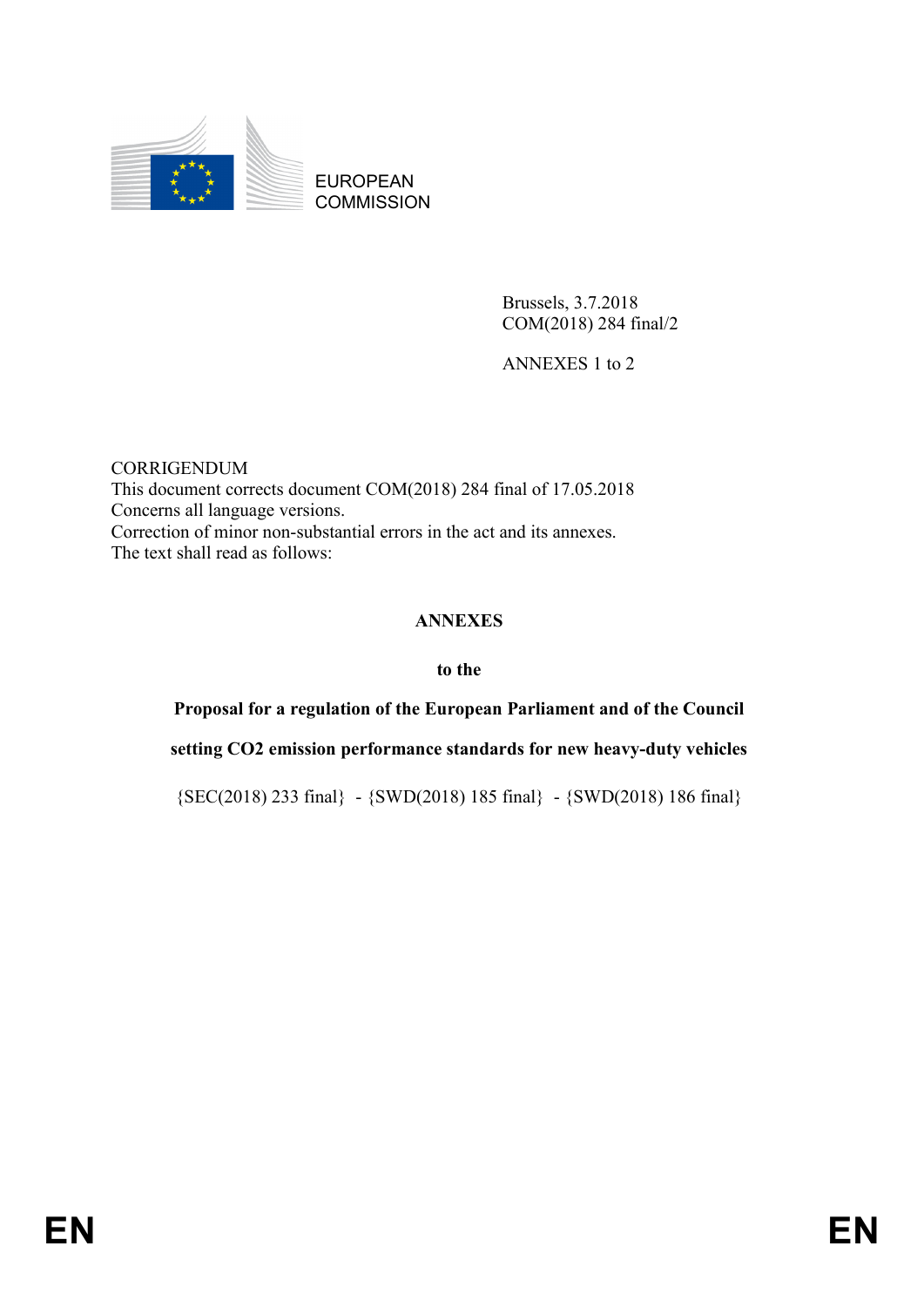

EUROPEAN **COMMISSION** 

> Brussels, 3.7.2018 COM(2018) 284 final/2

ANNEXES 1 to 2

CORRIGENDUM This document corrects document COM(2018) 284 final of 17.05.2018 Concerns all language versions. Correction of minor non-substantial errors in the act and its annexes. The text shall read as follows:

# **ANNEXES**

#### **to the**

**Proposal for a regulation of the European Parliament and of the Council**

**setting CO2 emission performance standards for new heavy-duty vehicles**

{SEC(2018) 233 final} - {SWD(2018) 185 final} - {SWD(2018) 186 final}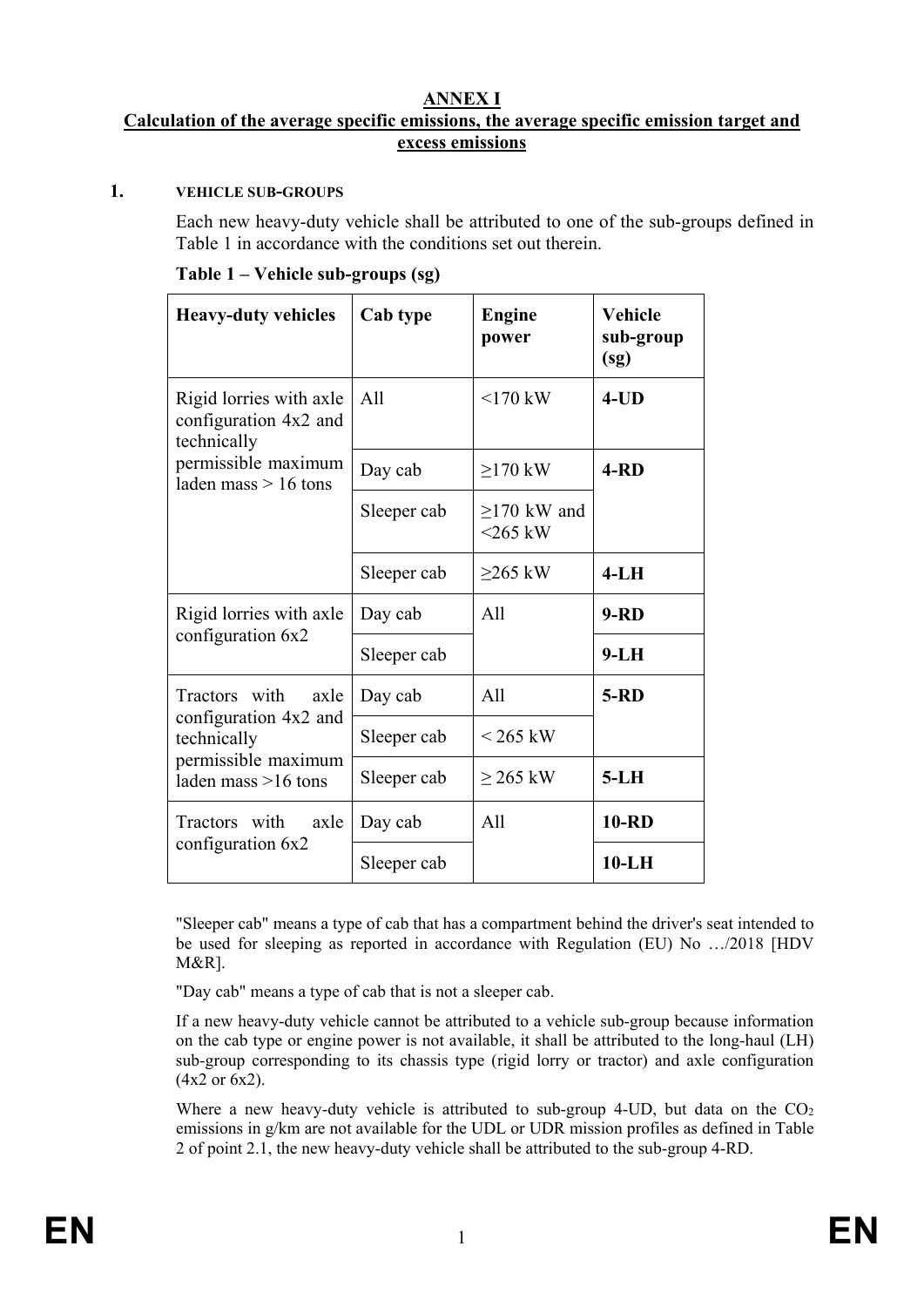#### **ANNEX I Calculation of the average specific emissions, the average specific emission target and excess emissions**

#### **1. VEHICLE SUB-GROUPS**

Each new heavy-duty vehicle shall be attributed to one of the sub-groups defined in Table 1 in accordance with the conditions set out therein.

|  | Table 1 – Vehicle sub-groups (sg) |  |
|--|-----------------------------------|--|
|  |                                   |  |

| <b>Heavy-duty vehicles</b>                                      | Cab type    | <b>Engine</b><br>power      | <b>Vehicle</b><br>sub-group<br>(sg) |
|-----------------------------------------------------------------|-------------|-----------------------------|-------------------------------------|
| Rigid lorries with axle<br>configuration 4x2 and<br>technically | All         | $170$ kW                    | $4$ -UD                             |
| permissible maximum<br>laden mass $> 16$ tons                   | Day cab     | $\geq$ 170 kW               | $4 - R D$                           |
|                                                                 | Sleeper cab | $>170$ kW and<br>$<$ 265 kW |                                     |
|                                                                 | Sleeper cab | $>265$ kW                   | $4-LH$                              |
| Rigid lorries with axle                                         | Day cab     | All                         | $9 - RD$                            |
| configuration 6x2                                               | Sleeper cab |                             | $9-LH$                              |
| Tractors with<br>axle                                           | Day cab     | All                         | $5 - RD$                            |
| configuration 4x2 and<br>technically                            | Sleeper cab | $< 265$ kW                  |                                     |
| permissible maximum<br>laden mass $>16$ tons                    | Sleeper cab | $\geq$ 265 kW               | $5-LH$                              |
| Tractors with<br>axle                                           | Day cab     | A11                         | <b>10-RD</b>                        |
| configuration 6x2                                               | Sleeper cab |                             | $10-LH$                             |

"Sleeper cab" means a type of cab that has a compartment behind the driver's seat intended to be used for sleeping as reported in accordance with Regulation (EU) No …/2018 [HDV M&R].

"Day cab" means a type of cab that is not a sleeper cab.

If a new heavy-duty vehicle cannot be attributed to a vehicle sub-group because information on the cab type or engine power is not available, it shall be attributed to the long-haul (LH) sub-group corresponding to its chassis type (rigid lorry or tractor) and axle configuration (4x2 or 6x2).

Where a new heavy-duty vehicle is attributed to sub-group 4-UD, but data on the  $CO<sub>2</sub>$ emissions in g/km are not available for the UDL or UDR mission profiles as defined in Table 2 of point 2.1, the new heavy-duty vehicle shall be attributed to the sub-group 4-RD.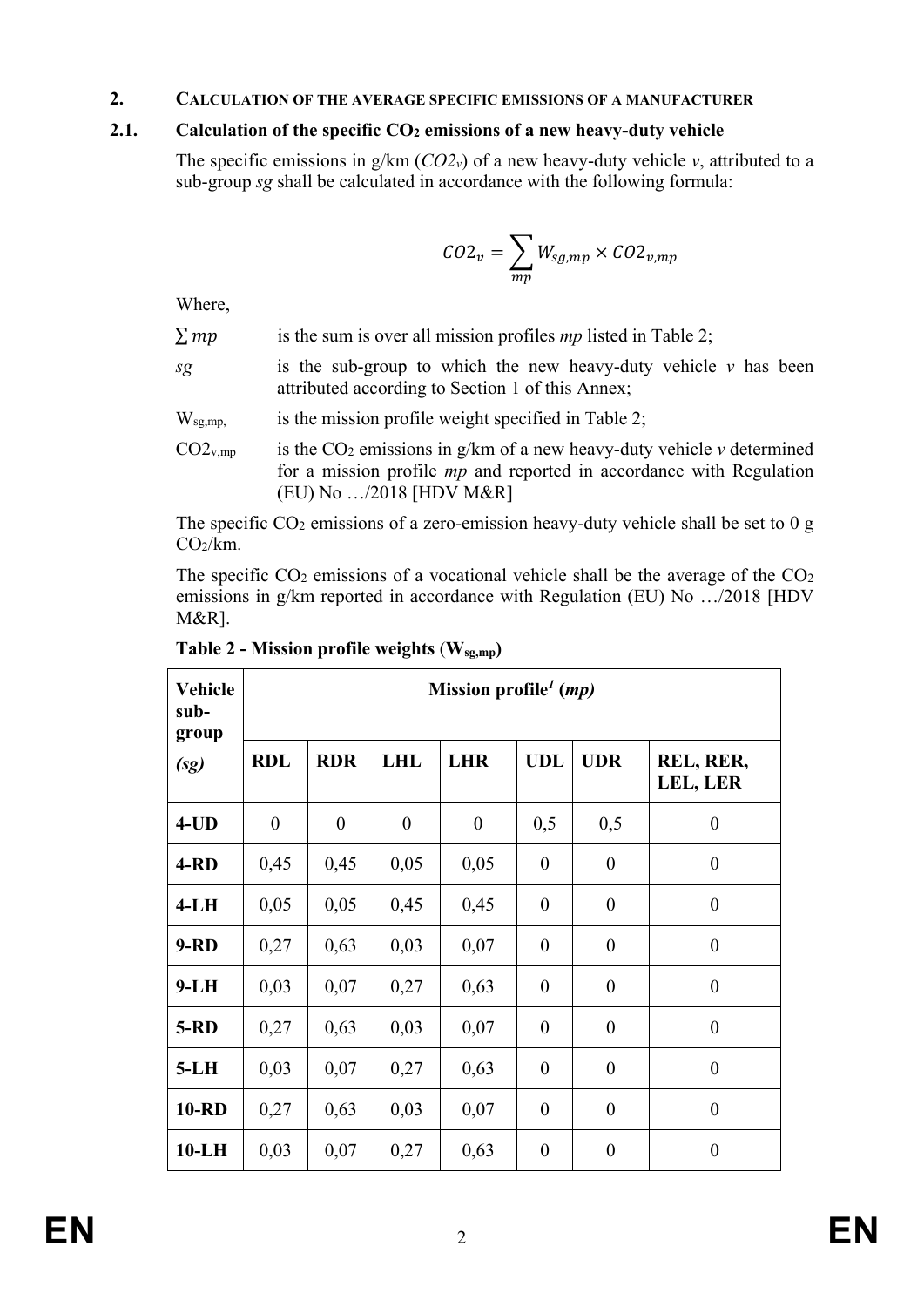#### **2. CALCULATION OF THE AVERAGE SPECIFIC EMISSIONS OF A MANUFACTURER**

## **2.1. Calculation of the specific**  $CO<sub>2</sub>$  **emissions of a new heavy-duty vehicle**

The specific emissions in  $g/km (CO2v)$  of a new heavy-duty vehicle *v*, attributed to a sub-group *sg* shall be calculated in accordance with the following formula:

$$
CO2_v = \sum_{mp} W_{sg,mp} \times CO2_{v,mp}
$$

Where,

| $\sum mp$ |  | is the sum is over all mission profiles $mp$ listed in Table 2; |  |
|-----------|--|-----------------------------------------------------------------|--|
|           |  |                                                                 |  |

- *sg* is the sub-group to which the new heavy-duty vehicle *v* has been attributed according to Section 1 of this Annex;
- W<sub>sg,mp,</sub> is the mission profile weight specified in Table 2;
- $CO2<sub>v,mp</sub>$  is the  $CO<sub>2</sub>$  emissions in g/km of a new heavy-duty vehicle *v* determined for a mission profile *mp* and reported in accordance with Regulation (EU) No …/2018 [HDV M&R]

The specific  $CO<sub>2</sub>$  emissions of a zero-emission heavy-duty vehicle shall be set to 0 g  $CO<sub>2</sub>/km$ .

The specific  $CO<sub>2</sub>$  emissions of a vocational vehicle shall be the average of the  $CO<sub>2</sub>$ emissions in g/km reported in accordance with Regulation (EU) No …/2018 [HDV M&R].

| Vehicle<br>sub-<br>group |                  |                  |                  | Mission profile <sup>1</sup> ( <i>mp</i> ) |                  |                  |                       |
|--------------------------|------------------|------------------|------------------|--------------------------------------------|------------------|------------------|-----------------------|
| (sg)                     | <b>RDL</b>       | <b>RDR</b>       | <b>LHL</b>       | <b>LHR</b>                                 | <b>UDL</b>       | <b>UDR</b>       | REL, RER,<br>LEL, LER |
| $4$ -UD                  | $\boldsymbol{0}$ | $\boldsymbol{0}$ | $\boldsymbol{0}$ | $\boldsymbol{0}$                           | 0,5              | 0,5              | $\boldsymbol{0}$      |
| $4 - RD$                 | 0,45             | 0,45             | 0,05             | 0,05                                       | $\overline{0}$   | $\overline{0}$   | $\boldsymbol{0}$      |
| $4-LH$                   | 0,05             | 0,05             | 0,45             | 0,45                                       | $\boldsymbol{0}$ | $\boldsymbol{0}$ | $\boldsymbol{0}$      |
| $9 - RD$                 | 0,27             | 0,63             | 0,03             | 0,07                                       | $\overline{0}$   | $\overline{0}$   | $\overline{0}$        |
| $9-LH$                   | 0,03             | 0,07             | 0,27             | 0,63                                       | $\boldsymbol{0}$ | $\boldsymbol{0}$ | $\overline{0}$        |
| $5 - RD$                 | 0,27             | 0,63             | 0,03             | 0,07                                       | $\overline{0}$   | $\overline{0}$   | $\boldsymbol{0}$      |
| $5-LH$                   | 0,03             | 0,07             | 0,27             | 0,63                                       | $\boldsymbol{0}$ | $\boldsymbol{0}$ | $\boldsymbol{0}$      |
| <b>10-RD</b>             | 0,27             | 0,63             | 0,03             | 0,07                                       | $\overline{0}$   | $\overline{0}$   | $\overline{0}$        |
| $10-LH$                  | 0,03             | 0,07             | 0,27             | 0,63                                       | $\boldsymbol{0}$ | $\boldsymbol{0}$ | $\boldsymbol{0}$      |

**Table 2 - Mission profile weights** (**Wsg,mp)**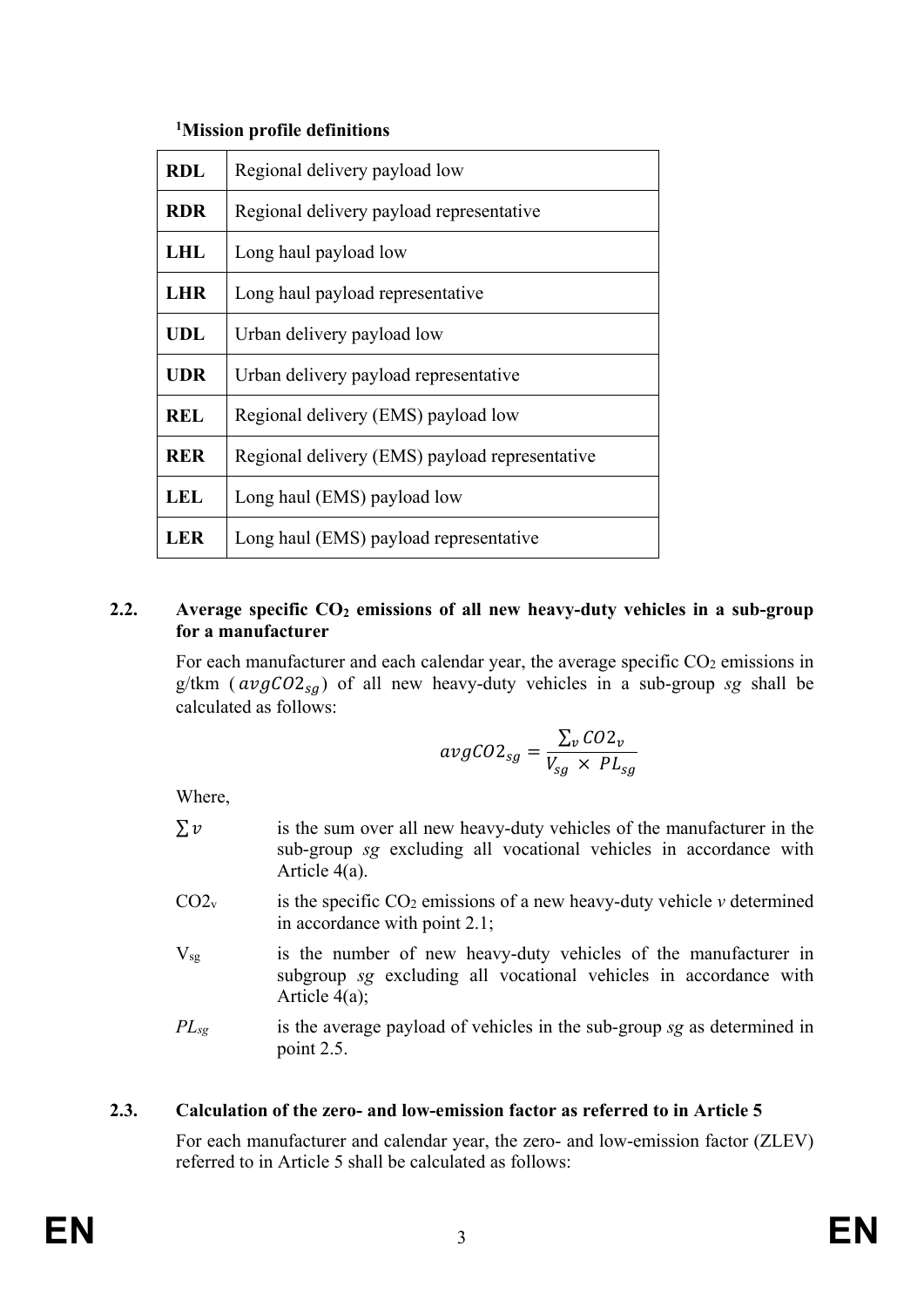# **1 Mission profile definitions**

| <b>RDL</b> | Regional delivery payload low                  |
|------------|------------------------------------------------|
| <b>RDR</b> | Regional delivery payload representative       |
| <b>LHL</b> | Long haul payload low                          |
| <b>LHR</b> | Long haul payload representative               |
| <b>UDL</b> | Urban delivery payload low                     |
| <b>UDR</b> | Urban delivery payload representative          |
| <b>REL</b> | Regional delivery (EMS) payload low            |
| <b>RER</b> | Regional delivery (EMS) payload representative |
| LEL        | Long haul (EMS) payload low                    |
| LER        | Long haul (EMS) payload representative         |

# **2.2. Average specific CO<sub>2</sub> emissions of all new heavy-duty vehicles in a sub-group for a manufacturer**

For each manufacturer and each calendar year, the average specific  $CO<sub>2</sub>$  emissions in g/tkm ( $avgCO2_{sa}$ ) of all new heavy-duty vehicles in a sub-group *sg* shall be calculated as follows:

$$
avgCO2_{sg} = \frac{\sum_{v} CO2_{v}}{V_{sg} \times PL_{sg}}
$$

Where,

- $\sum v$  is the sum over all new heavy-duty vehicles of the manufacturer in the sub-group *sg* excluding all vocational vehicles in accordance with Article 4(a).
- $CO2<sub>v</sub>$  is the specific  $CO<sub>2</sub>$  emissions of a new heavy-duty vehicle *v* determined in accordance with point 2.1;
- $V_{sg}$  is the number of new heavy-duty vehicles of the manufacturer in subgroup *sg* excluding all vocational vehicles in accordance with Article 4(a);
- *PLsg* is the average payload of vehicles in the sub-group *sg* as determined in point 2.5.

# **2.3. Calculation of the zero- and low-emission factor as referred to in Article 5**

For each manufacturer and calendar year, the zero- and low-emission factor (ZLEV) referred to in Article 5 shall be calculated as follows: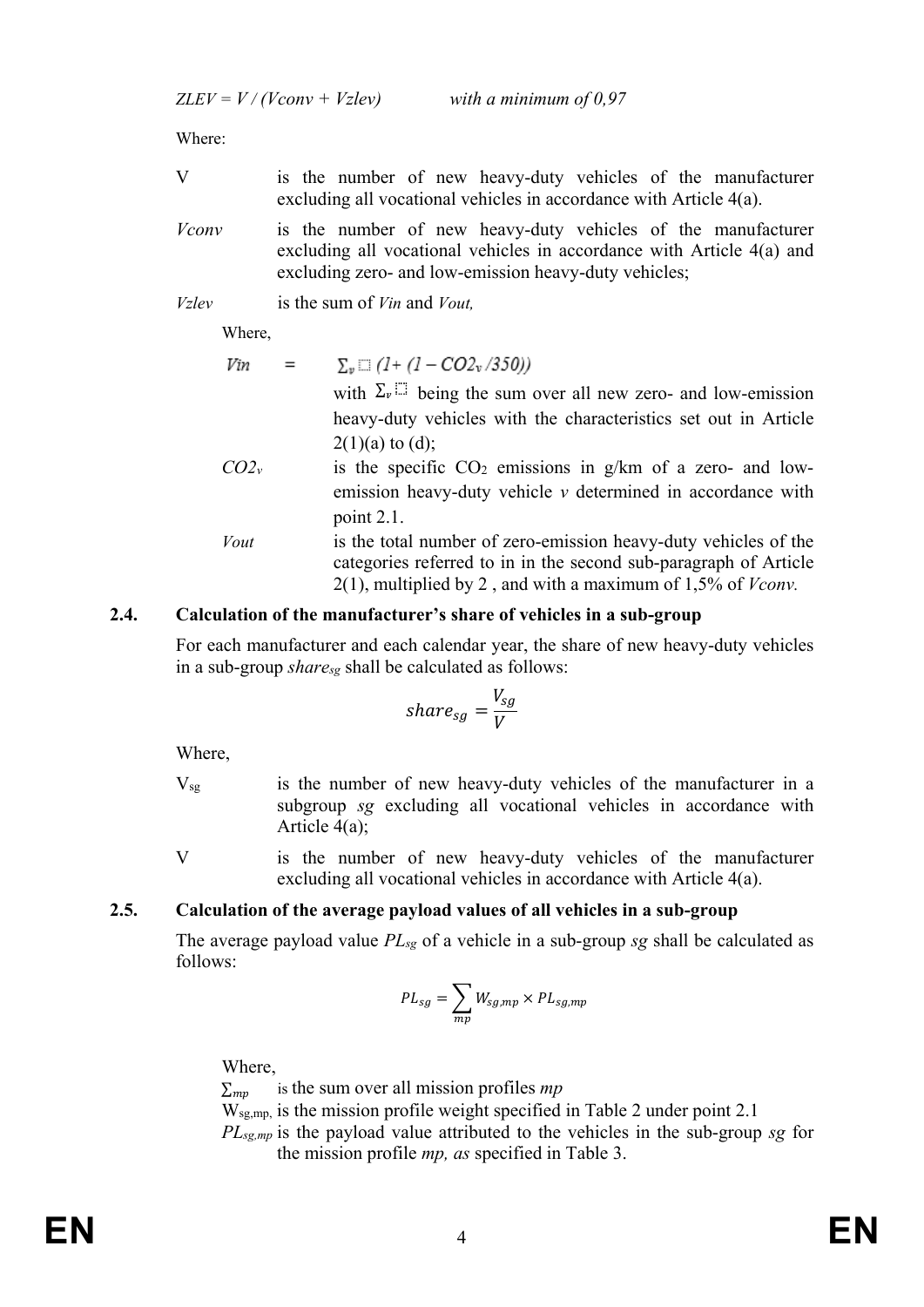$ZLEV = V / (Vconv + Vzlev)$  with a minimum of 0,97

Where:

- V is the number of new heavy-duty vehicles of the manufacturer excluding all vocational vehicles in accordance with Article 4(a).
- *Vconv* is the number of new heavy-duty vehicles of the manufacturer excluding all vocational vehicles in accordance with Article 4(a) and excluding zero- and low-emission heavy-duty vehicles;
- *Vzlev* is the sum of *Vin* and *Vout,*

Where,

Vin  $\equiv$  $\Sigma_v \square (1 + (1 - CO2_v / 350))$ with  $\Sigma_{\nu}$  is being the sum over all new zero- and low-emission heavy-duty vehicles with the characteristics set out in Article  $2(1)(a)$  to  $(d)$ ;

- $CO2<sub>v</sub>$  is the specific  $CO<sub>2</sub>$  emissions in g/km of a zero- and lowemission heavy-duty vehicle *v* determined in accordance with point 2.1.
- *Vout* is the total number of zero-emission heavy-duty vehicles of the categories referred to in in the second sub-paragraph of Article 2(1), multiplied by 2 , and with a maximum of 1,5% of *Vconv.*

## **2.4. Calculation of the manufacturer's share of vehicles in a sub-group**

For each manufacturer and each calendar year, the share of new heavy-duty vehicles in a sub-group *sharesg* shall be calculated as follows:

$$
share_{sg}=\frac{V_{sg}}{V}
$$

Where,

- Vsg is the number of new heavy-duty vehicles of the manufacturer in a subgroup *sg* excluding all vocational vehicles in accordance with Article 4(a);
- V is the number of new heavy-duty vehicles of the manufacturer excluding all vocational vehicles in accordance with Article 4(a).

# **2.5. Calculation of the average payload values of all vehicles in a sub-group**

The average payload value *PLsg* of a vehicle in a sub-group *sg* shall be calculated as follows:

$$
PL_{sg} = \sum_{mp} W_{sg,mp} \times PL_{sg,mp}
$$

Where,

 $\Sigma_{mv}$  is the sum over all mission profiles *mp* 

Wsg,mp, is the mission profile weight specified in Table 2 under point 2.1

*PLsg,mp* is the payload value attributed to the vehicles in the sub-group *sg* for the mission profile *mp, as* specified in Table 3.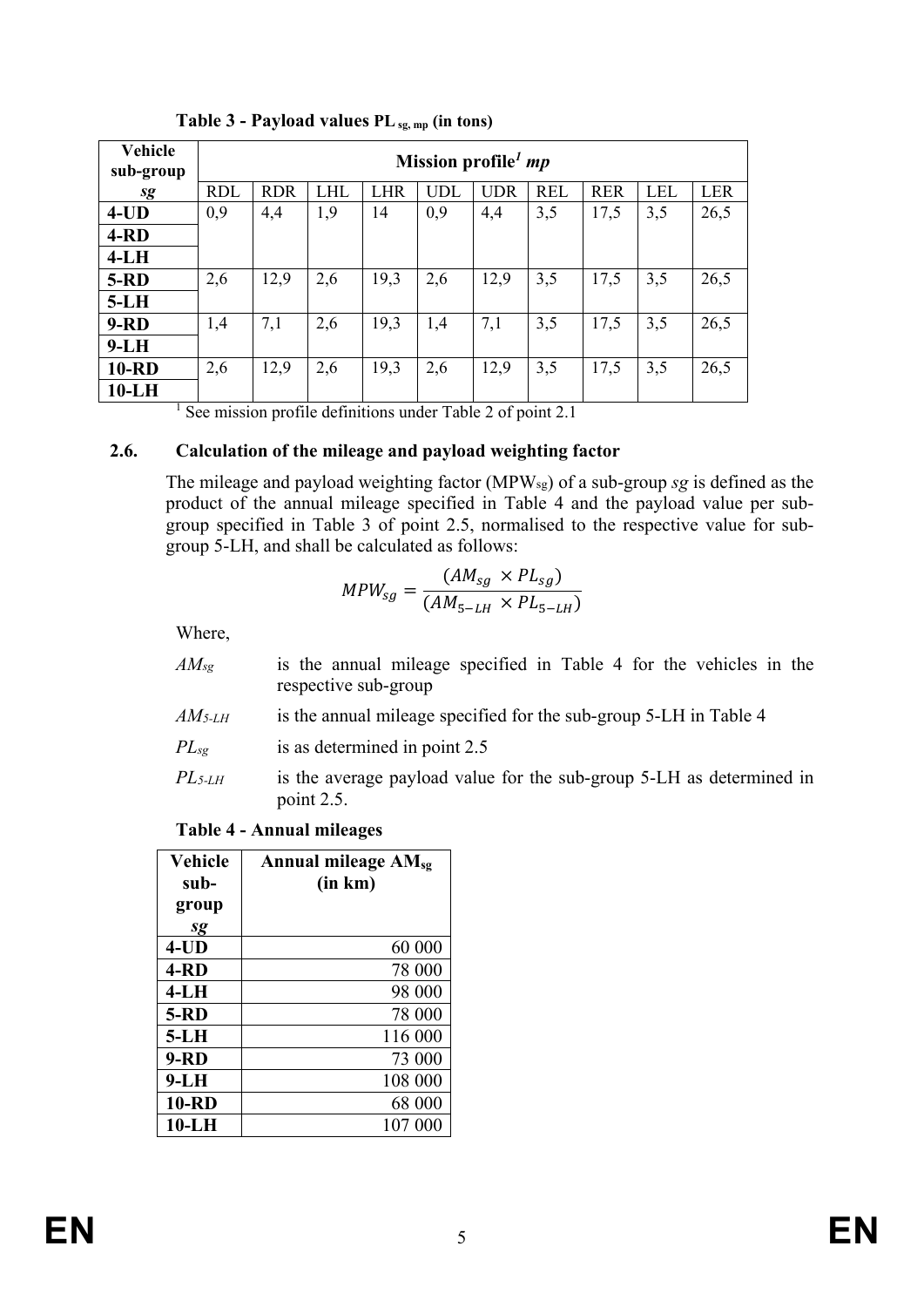| <b>Vehicle</b><br>sub-group |            | Mission profile $mp$ |            |      |            |            |            |            |            |            |
|-----------------------------|------------|----------------------|------------|------|------------|------------|------------|------------|------------|------------|
| sg                          | <b>RDL</b> | <b>RDR</b>           | <b>LHL</b> | LHR  | <b>UDL</b> | <b>UDR</b> | <b>REL</b> | <b>RER</b> | <b>LEL</b> | <b>LER</b> |
| $4$ -UD                     | 0,9        | 4,4                  | 1,9        | 14   | 0,9        | 4,4        | 3,5        | 17,5       | 3,5        | 26,5       |
| $4 - RD$                    |            |                      |            |      |            |            |            |            |            |            |
| $4-LH$                      |            |                      |            |      |            |            |            |            |            |            |
| $5-RD$                      | 2,6        | 12,9                 | 2,6        | 19,3 | 2,6        | 12,9       | 3,5        | 17,5       | 3,5        | 26,5       |
| $5-LH$                      |            |                      |            |      |            |            |            |            |            |            |
| $9 - RD$                    | 1,4        | 7,1                  | 2,6        | 19,3 | 1,4        | 7,1        | 3,5        | 17,5       | 3,5        | 26,5       |
| $9-LH$                      |            |                      |            |      |            |            |            |            |            |            |
| <b>10-RD</b>                | 2,6        | 12,9                 | 2,6        | 19,3 | 2,6        | 12,9       | 3,5        | 17,5       | 3,5        | 26,5       |
| $10-LH$                     |            |                      |            |      |            |            |            |            |            |            |

**Table 3 - Payload values PLsg, mp (in tons)**

<sup>1</sup> See mission profile definitions under Table 2 of point 2.1

## **2.6. Calculation of the mileage and payload weighting factor**

The mileage and payload weighting factor (MPWsg) of a sub-group *sg* is defined as the product of the annual mileage specified in Table 4 and the payload value per subgroup specified in Table 3 of point 2.5, normalised to the respective value for subgroup 5-LH, and shall be calculated as follows:

$$
MPW_{sg} = \frac{(AM_{sg} \times PL_{sg})}{(AM_{5-LH} \times PL_{5-LH})}
$$

Where,

- *AMsg* is the annual mileage specified in Table 4 for the vehicles in the respective sub-group
- *AM5-LH* is the annual mileage specified for the sub-group 5-LH in Table 4
- *PL<sub>sg</sub>* is as determined in point 2.5
- *PL<sub>5-LH</sub>* is the average payload value for the sub-group 5-LH as determined in point 2.5.

#### **Table 4 - Annual mileages**

| Vehicle      | Annual mileage $AM_{sg}$ |
|--------------|--------------------------|
| sub-         | (in km)                  |
| group        |                          |
| sg           |                          |
| $4$ -UD      | 60 000                   |
| $4 - RD$     | 78 000                   |
| $4-LH$       | 98 000                   |
| <b>5-RD</b>  | 78 000                   |
| $5-LH$       | 116 000                  |
| $9 - RD$     | 73 000                   |
| $9-LH$       | 108 000                  |
| <b>10-RD</b> | 68 000                   |
| $10-LH$      | 107 000                  |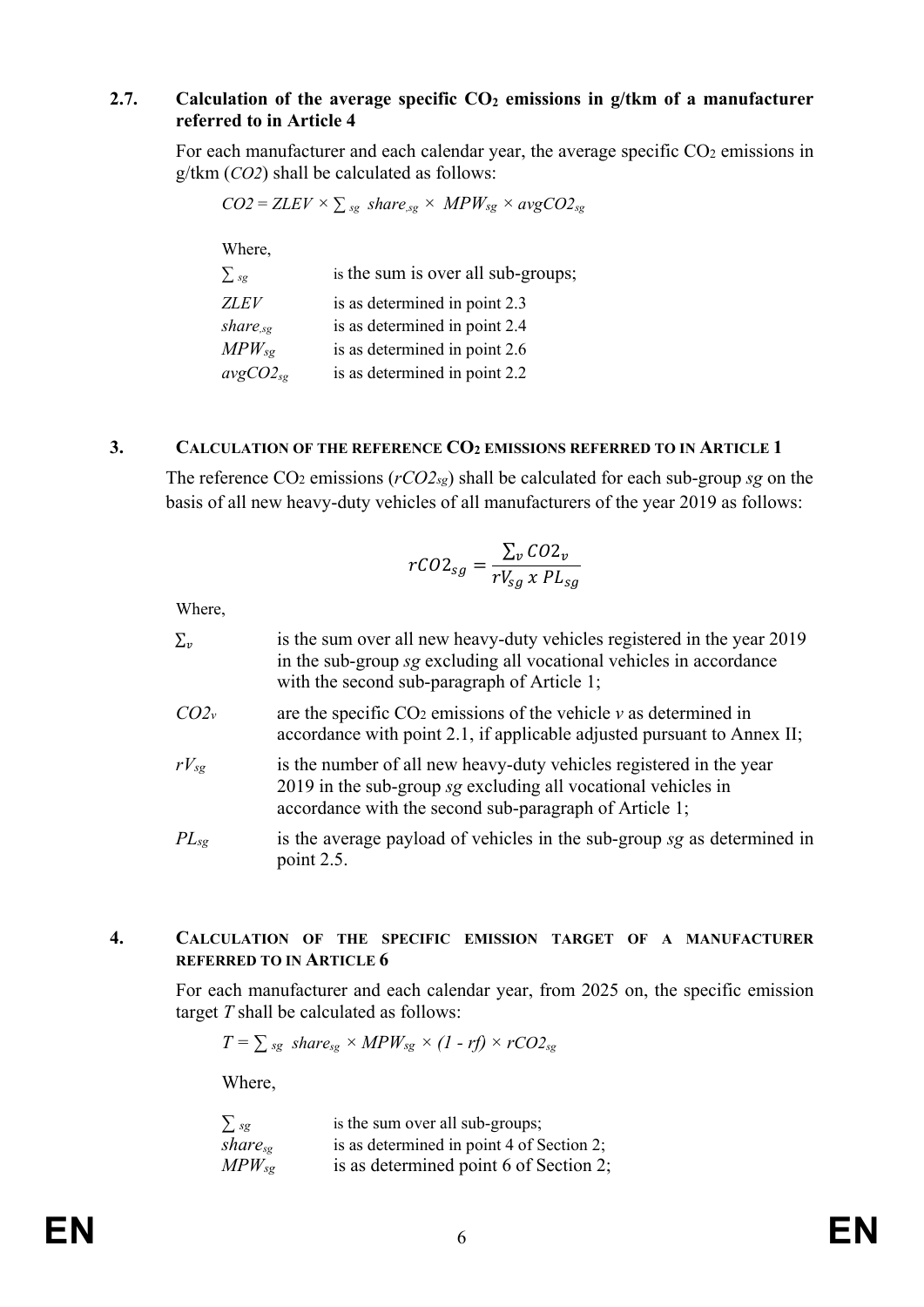#### **2.7. Calculation of the average specific CO<sub>2</sub> emissions in g/tkm of a manufacturer referred to in Article 4**

For each manufacturer and each calendar year, the average specific  $CO<sub>2</sub>$  emissions in g/tkm (*CO2*) shall be calculated as follows:

|                      | $CO2 = ZLEV \times \sum_{sg} share_{sg} \times MPW_{sg} \times avgCO2_{sg}$ |
|----------------------|-----------------------------------------------------------------------------|
| Where,               |                                                                             |
| $\sum$ <sub>sg</sub> | is the sum is over all sub-groups;                                          |
| <b>ZLEV</b>          | is as determined in point 2.3                                               |
| $share_{sg}$         | is as determined in point 2.4                                               |
| $MPW_{sg}$           | is as determined in point 2.6                                               |
| $avgCO2_{sg}$        | is as determined in point 2.2                                               |

#### **3. CALCULATION OF THE REFERENCE CO2 EMISSIONS REFERRED TO IN ARTICLE 1**

The reference CO2 emissions (*rCO2sg*) shall be calculated for each sub-group *sg* on the basis of all new heavy-duty vehicles of all manufacturers of the year 2019 as follows:

$$
rCO2_{sg} = \frac{\sum_{v} CO2_{v}}{rV_{sg} \times PL_{sg}}
$$

Where,

| $\Sigma_v$ | is the sum over all new heavy-duty vehicles registered in the year 2019<br>in the sub-group sg excluding all vocational vehicles in accordance<br>with the second sub-paragraph of Article 1;  |
|------------|------------------------------------------------------------------------------------------------------------------------------------------------------------------------------------------------|
| $CO2_{v}$  | are the specific $CO2$ emissions of the vehicle $\nu$ as determined in<br>accordance with point 2.1, if applicable adjusted pursuant to Annex II;                                              |
| $rV_{sg}$  | is the number of all new heavy-duty vehicles registered in the year<br>2019 in the sub-group sg excluding all vocational vehicles in<br>accordance with the second sub-paragraph of Article 1; |
| $PL_{sg}$  | is the average payload of vehicles in the sub-group sg as determined in<br>point 2.5.                                                                                                          |

#### **4. CALCULATION OF THE SPECIFIC EMISSION TARGET OF A MANUFACTURER REFERRED TO IN ARTICLE 6**

For each manufacturer and each calendar year, from 2025 on, the specific emission target *T* shall be calculated as follows:

$$
T = \sum_{sg} share_{sg} \times MPW_{sg} \times (1 - rf) \times rCO2_{sg}
$$

Where,

| $\sum s g$          | is the sum over all sub-groups;           |
|---------------------|-------------------------------------------|
| share <sub>se</sub> | is as determined in point 4 of Section 2; |
| $MPW_{sg}$          | is as determined point 6 of Section 2;    |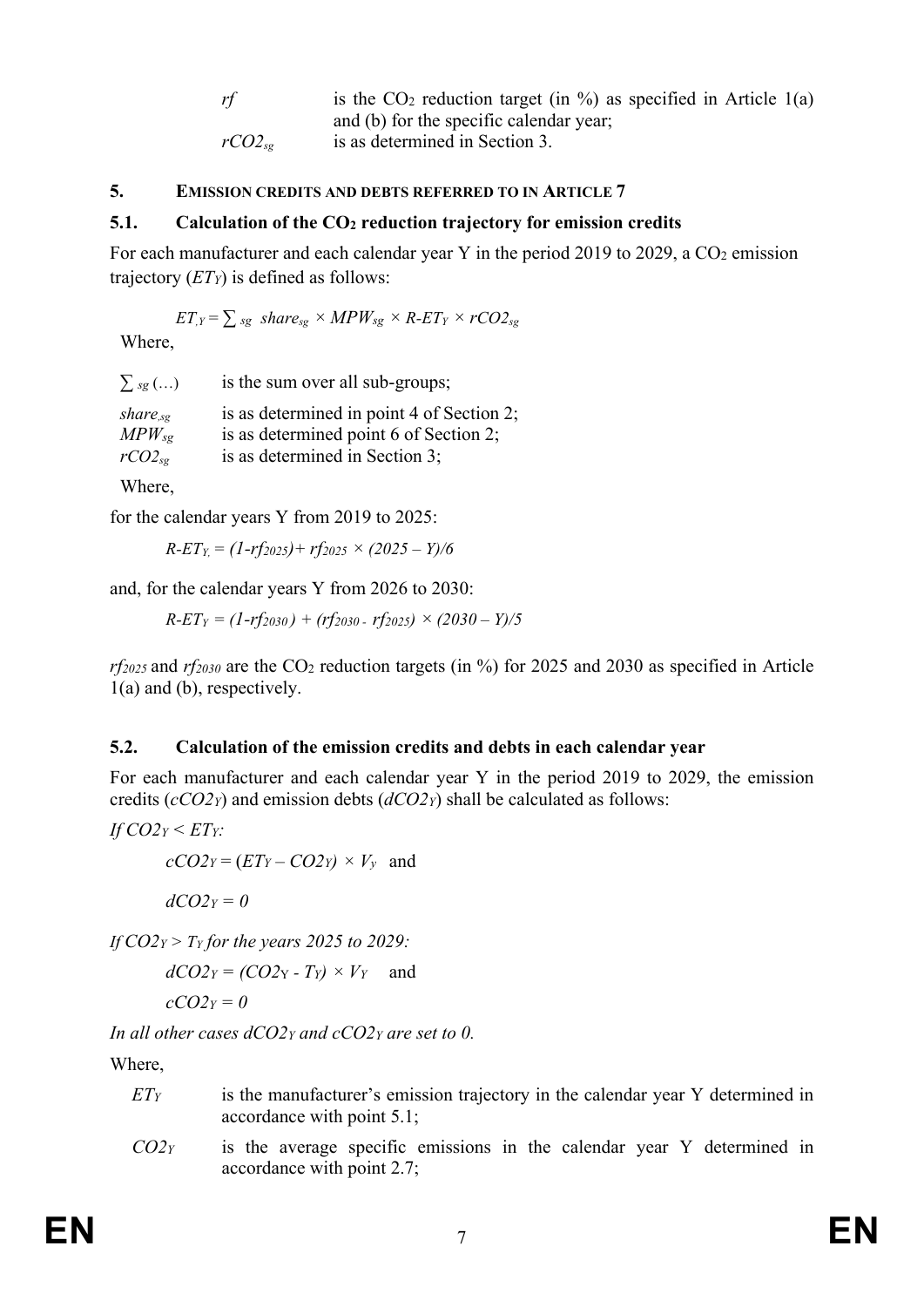| rf              | is the $CO2$ reduction target (in %) as specified in Article 1(a) |
|-----------------|-------------------------------------------------------------------|
|                 | and (b) for the specific calendar year;                           |
| $rCO2_{\rm sc}$ | is as determined in Section 3.                                    |

#### **5. EMISSION CREDITS AND DEBTS REFERRED TO IN ARTICLE 7**

#### **5.1.** Calculation of the CO<sub>2</sub> reduction trajectory for emission credits

For each manufacturer and each calendar year Y in the period 2019 to 2029, a  $CO<sub>2</sub>$  emission trajectory (*ETY*) is defined as follows:

$$
ET_{,Y} = \sum_{sg} share_{sg} \times MPW_{sg} \times R \cdot ET_Y \times rCO2_{sg}
$$

Where,

| $\sum_{sg}$ ()                                | is the sum over all sub-groups;                                                                                       |
|-----------------------------------------------|-----------------------------------------------------------------------------------------------------------------------|
| $share_{sg}$<br>$MPW_{sg}$<br>$rCO2_{\rm sg}$ | is as determined in point 4 of Section 2;<br>is as determined point 6 of Section 2;<br>is as determined in Section 3; |
|                                               |                                                                                                                       |

Where,

for the calendar years Y from 2019 to 2025:

$$
R - ET_Y = (1 - rf_{2025}) + rf_{2025} \times (2025 - Y)/6
$$

and, for the calendar years Y from 2026 to 2030:

$$
R - ET_Y = (1 - rf_{2030}) + (rf_{2030} - rf_{2025}) \times (2030 - Y)/5
$$

*rf2025* and *rf2030* are the CO2 reduction targets (in %) for 2025 and 2030 as specified in Article 1(a) and (b), respectively.

#### **5.2. Calculation of the emission credits and debts in each calendar year**

For each manufacturer and each calendar year Y in the period 2019 to 2029, the emission credits (*cCO2Y*) and emission debts (*dCO2Y*) shall be calculated as follows:

$$
If CO2Y \leq ETY:
$$

 $cCO2y = (ETy - CO2y) \times V_y$  and

 $dCO2_Y = 0$ 

*If CO2Y > TY for the years 2025 to 2029:*

 $dCO2_Y = (CO2_Y - Ty) \times V_Y$  and

$$
cCO2_Y=0
$$

*In all other cases dCO2Y and cCO2Y are set to 0.*

Where,

- *ET<sub>Y</sub>* is the manufacturer's emission trajectory in the calendar year Y determined in accordance with point 5.1;
- *CO2Y* is the average specific emissions in the calendar year Y determined in accordance with point 2.7;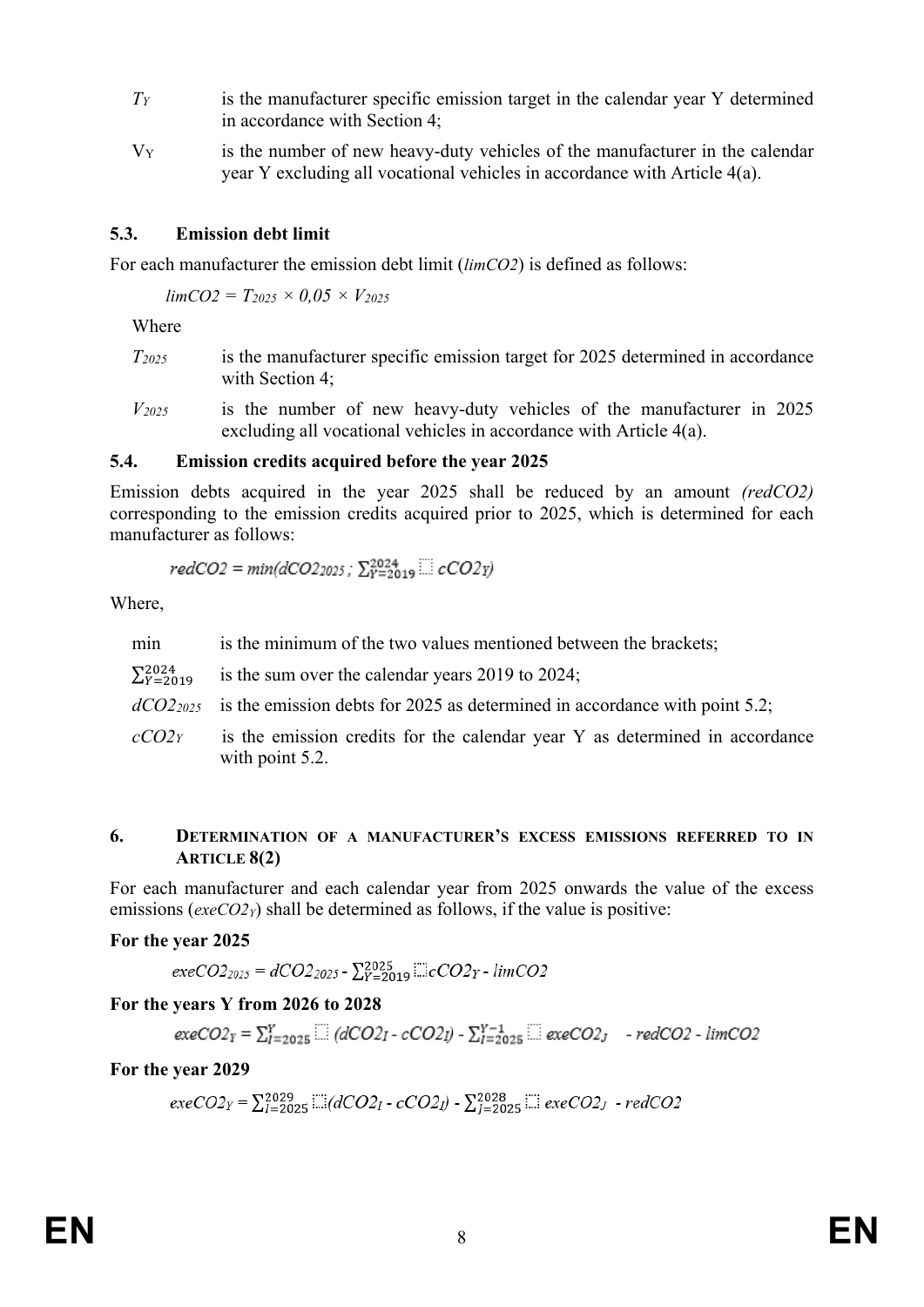- *TY* is the manufacturer specific emission target in the calendar year Y determined in accordance with Section 4;
- $V_Y$  is the number of new heavy-duty vehicles of the manufacturer in the calendar year Y excluding all vocational vehicles in accordance with Article 4(a).

## **5.3. Emission debt limit**

For each manufacturer the emission debt limit (*limCO2*) is defined as follows:

 $limCO2 = T_{2025} \times 0.05 \times V_{2025}$ 

Where

- *T2025* is the manufacturer specific emission target for 2025 determined in accordance with Section 4;
- *V2025* is the number of new heavy-duty vehicles of the manufacturer in 2025 excluding all vocational vehicles in accordance with Article 4(a).

#### **5.4. Emission credits acquired before the year 2025**

Emission debts acquired in the year 2025 shall be reduced by an amount *(redCO2)* corresponding to the emission credits acquired prior to 2025, which is determined for each manufacturer as follows:

$$
redCO2 = min(dCO2_{2025}; \sum_{Y=2019}^{2024} \dots \sum_{Y=100}^{2002} cCO2Y)
$$

Where,

- min is the minimum of the two values mentioned between the brackets;
- $\Sigma_{Y=2019}^{2024}$ is the sum over the calendar years  $2019$  to  $2024$ ;
- *dCO22025* is the emission debts for 2025 as determined in accordance with point 5.2;
- *cCO2Y* is the emission credits for the calendar year Y as determined in accordance with point 5.2.

#### **6. DETERMINATION OF A MANUFACTURER'S EXCESS EMISSIONS REFERRED TO IN ARTICLE 8(2)**

For each manufacturer and each calendar year from 2025 onwards the value of the excess emissions (*exeCO2Y*) shall be determined as follows, if the value is positive:

#### **For the year 2025**

$$
execO2_{2025} = dCO2_{2025} - \sum_{Y=2019}^{2025} \text{...} cCO2_Y - \text{limCO2}
$$

#### **For the years Y from 2026 to 2028**

$$
execO2_Y = \sum_{l=2025}^{Y} \dots (dCO2_I - cCO2I) - \sum_{l=2025}^{Y-1} \dots (execO2_J - redCO2 - limCO2)
$$

#### **For the year 2029**

 $exeCO2_Y = \sum_{I=2025}^{2029}$   $\cdots$   $(dCO2_I - cCO2_I) - \sum_{I=2025}^{2028}$   $\cdots$   $exeCO2_J - redCO2$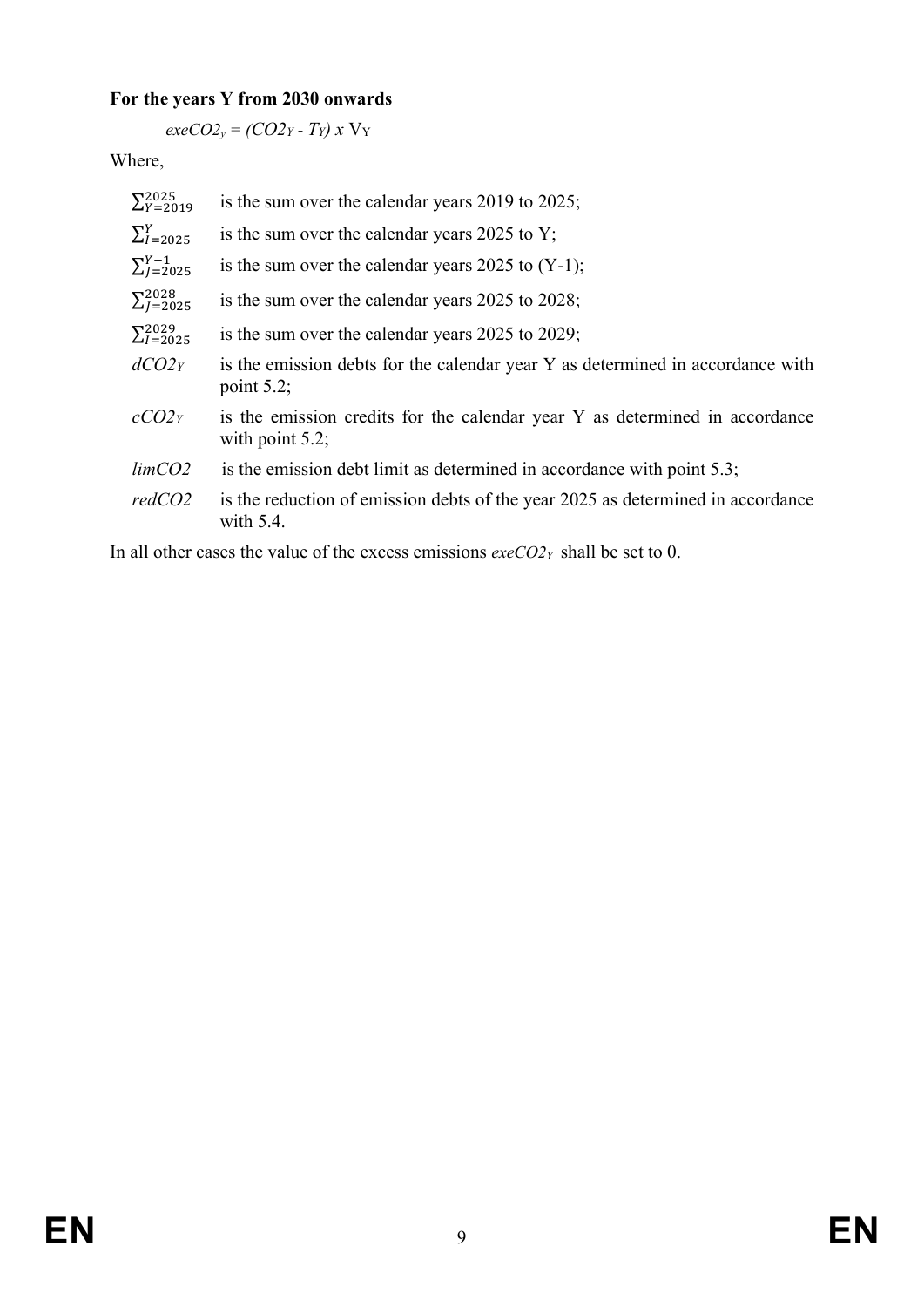# **For the years Y from 2030 onwards**

*exeCO2<sub>y</sub>* =  $(CO2Y - Ty)$ *x* V<sub>Y</sub>

Where,

| $\Sigma_{Y=2019}^{2025}$ | is the sum over the calendar years 2019 to 2025;                                                  |
|--------------------------|---------------------------------------------------------------------------------------------------|
| $\sum_{l=2025}^{Y}$      | is the sum over the calendar years $2025$ to Y;                                                   |
| $\sum_{l=2025}^{Y-1}$    | is the sum over the calendar years 2025 to $(Y-1)$ ;                                              |
| $\Sigma_{I=2025}^{2028}$ | is the sum over the calendar years 2025 to 2028;                                                  |
| $\Sigma_{I=2025}^{2029}$ | is the sum over the calendar years $2025$ to $2029$ ;                                             |
| dCO2y                    | is the emission debts for the calendar year Y as determined in accordance with<br>point $5.2$ ;   |
| $cCO2_Y$                 | is the emission credits for the calendar year Y as determined in accordance<br>with point $5.2$ ; |
| limCO2                   | is the emission debt limit as determined in accordance with point $5.3$ ;                         |
| redCO2                   | is the reduction of emission debts of the year 2025 as determined in accordance<br>with $5.4$ .   |
|                          |                                                                                                   |

In all other cases the value of the excess emissions *exeCO2Y* shall be set to 0.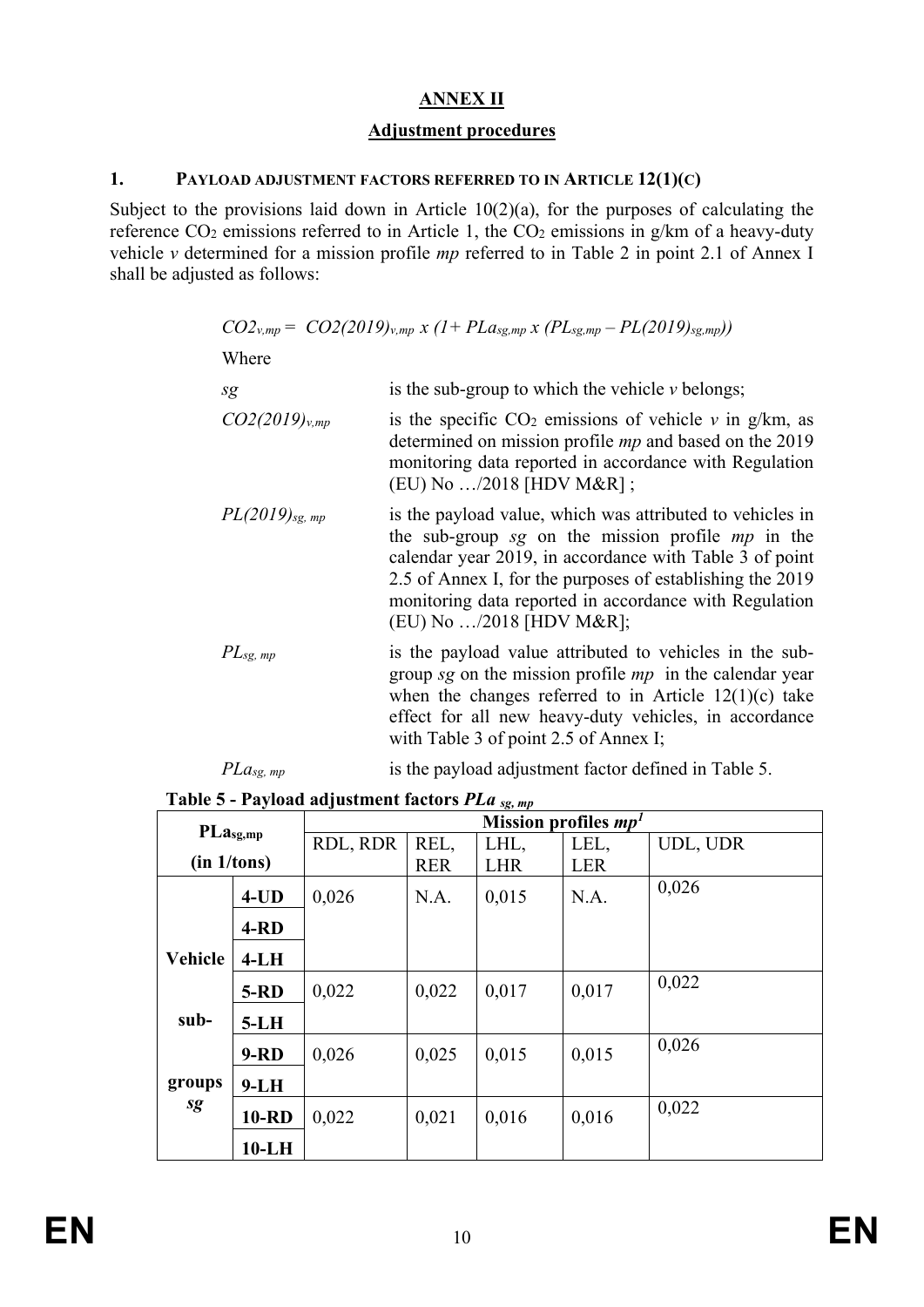# **ANNEX II**

# **Adjustment procedures**

## **1. PAYLOAD ADJUSTMENT FACTORS REFERRED TO IN ARTICLE 12(1)(C)**

Subject to the provisions laid down in Article 10(2)(a), for the purposes of calculating the reference CO<sub>2</sub> emissions referred to in Article 1, the CO<sub>2</sub> emissions in g/km of a heavy-duty vehicle *v* determined for a mission profile *mp* referred to in Table 2 in point 2.1 of Annex I shall be adjusted as follows:

|  |  |  |  | $CO2_{v,mp} = CO2(2019)_{v,mp}$ x $(1 + PLa_{sg,mp} x (PL_{sg,mp} - PL(2019)_{sg,mp}))$ |
|--|--|--|--|-----------------------------------------------------------------------------------------|
|--|--|--|--|-----------------------------------------------------------------------------------------|

```
Where
```

| sg                  | is the sub-group to which the vehicle $\nu$ belongs;                                                                                                                                                                                                                                                                           |
|---------------------|--------------------------------------------------------------------------------------------------------------------------------------------------------------------------------------------------------------------------------------------------------------------------------------------------------------------------------|
| $CO2(2019)_{v,mp}$  | is the specific $CO2$ emissions of vehicle v in g/km, as<br>determined on mission profile <i>mp</i> and based on the 2019<br>monitoring data reported in accordance with Regulation<br>(EU) No /2018 [HDV M&R];                                                                                                                |
| $PL(2019)_{sg, mp}$ | is the payload value, which was attributed to vehicles in<br>the sub-group sg on the mission profile $mp$ in the<br>calendar year 2019, in accordance with Table 3 of point<br>2.5 of Annex I, for the purposes of establishing the 2019<br>monitoring data reported in accordance with Regulation<br>(EU) No /2018 [HDV M&R]; |
| $PL_{sg. mp}$       | is the payload value attributed to vehicles in the sub-<br>group sg on the mission profile $mp$ in the calendar year<br>when the changes referred to in Article $12(1)(c)$ take<br>effect for all new heavy-duty vehicles, in accordance<br>with Table 3 of point 2.5 of Annex I;                                              |

*PLa<sub>sg, mp</sub>* is the payload adjustment factor defined in Table 5.

**Table 5 - Payload adjustment factors** *PLa sg, mp*

| $PLa_{sg,mp}$ |              | Mission profiles $mp1$ |            |            |            |          |
|---------------|--------------|------------------------|------------|------------|------------|----------|
|               |              | RDL, RDR               | REL,       | LHL,       | LEL,       | UDL, UDR |
| (in 1/tons)   |              |                        | <b>RER</b> | <b>LHR</b> | <b>LER</b> |          |
|               | $4$ -UD      | 0,026                  | N.A.       | 0,015      | N.A.       | 0,026    |
|               | $4-RD$       |                        |            |            |            |          |
| Vehicle       | $4-LH$       |                        |            |            |            |          |
|               | $5-RD$       | 0,022                  | 0,022      | 0,017      | 0,017      | 0,022    |
| sub-          | $5-LH$       |                        |            |            |            |          |
|               | $9 - RD$     | 0,026                  | 0,025      | 0,015      | 0,015      | 0,026    |
| groups        | $9-LH$       |                        |            |            |            |          |
| sg            | <b>10-RD</b> | 0,022                  | 0,021      | 0,016      | 0,016      | 0,022    |
|               | $10-LH$      |                        |            |            |            |          |